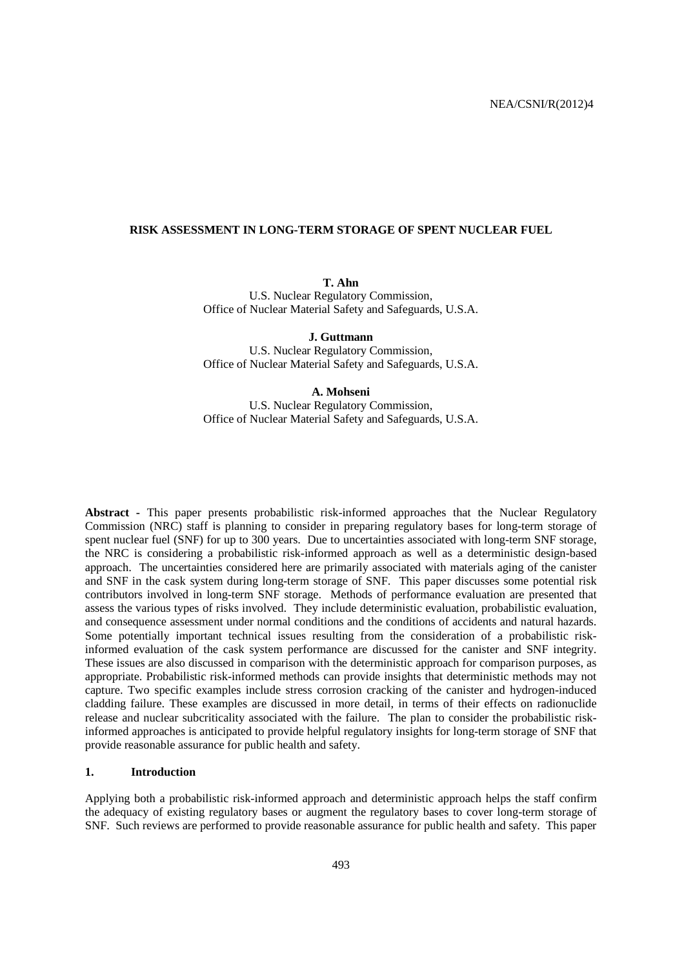### **RISK ASSESSMENT IN LONG-TERM STORAGE OF SPENT NUCLEAR FUEL**

**T. Ahn** 

U.S. Nuclear Regulatory Commission, Office of Nuclear Material Safety and Safeguards, U.S.A.

**J. Guttmann**  U.S. Nuclear Regulatory Commission, Office of Nuclear Material Safety and Safeguards, U.S.A.

**A. Mohseni** 

U.S. Nuclear Regulatory Commission, Office of Nuclear Material Safety and Safeguards, U.S.A.

**Abstract -** This paper presents probabilistic risk-informed approaches that the Nuclear Regulatory Commission (NRC) staff is planning to consider in preparing regulatory bases for long-term storage of spent nuclear fuel (SNF) for up to 300 years. Due to uncertainties associated with long-term SNF storage, the NRC is considering a probabilistic risk-informed approach as well as a deterministic design-based approach. The uncertainties considered here are primarily associated with materials aging of the canister and SNF in the cask system during long-term storage of SNF. This paper discusses some potential risk contributors involved in long-term SNF storage. Methods of performance evaluation are presented that assess the various types of risks involved. They include deterministic evaluation, probabilistic evaluation, and consequence assessment under normal conditions and the conditions of accidents and natural hazards. Some potentially important technical issues resulting from the consideration of a probabilistic riskinformed evaluation of the cask system performance are discussed for the canister and SNF integrity. These issues are also discussed in comparison with the deterministic approach for comparison purposes, as appropriate. Probabilistic risk-informed methods can provide insights that deterministic methods may not capture. Two specific examples include stress corrosion cracking of the canister and hydrogen-induced cladding failure. These examples are discussed in more detail, in terms of their effects on radionuclide release and nuclear subcriticality associated with the failure. The plan to consider the probabilistic riskinformed approaches is anticipated to provide helpful regulatory insights for long-term storage of SNF that provide reasonable assurance for public health and safety.

### **1. Introduction**

Applying both a probabilistic risk-informed approach and deterministic approach helps the staff confirm the adequacy of existing regulatory bases or augment the regulatory bases to cover long-term storage of SNF. Such reviews are performed to provide reasonable assurance for public health and safety. This paper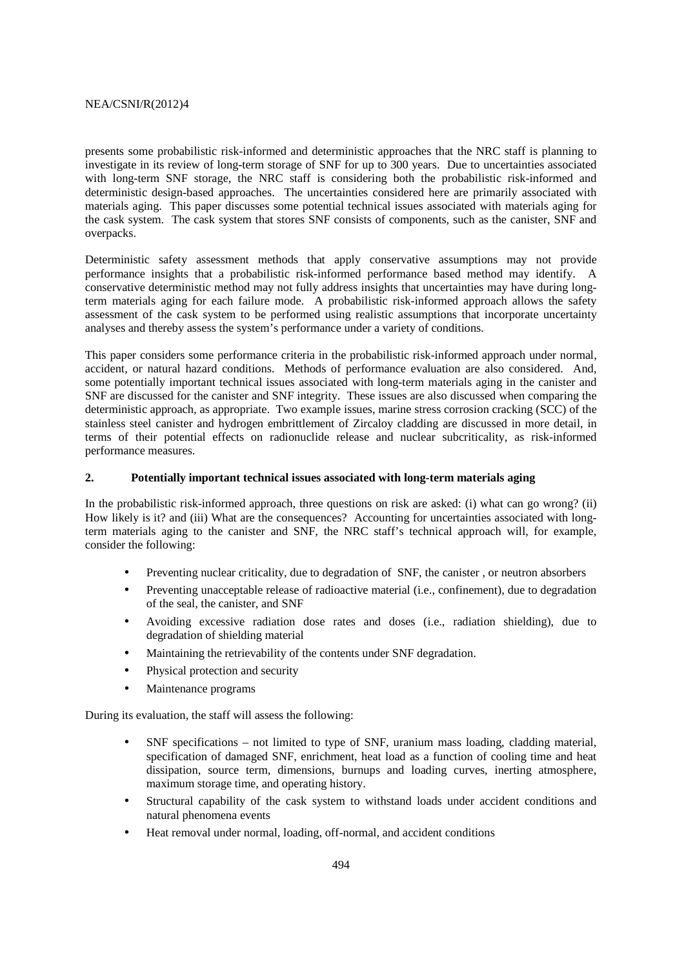### NEA/CSNI/R(2012)4

presents some probabilistic risk-informed and deterministic approaches that the NRC staff is planning to investigate in its review of long-term storage of SNF for up to 300 years. Due to uncertainties associated with long-term SNF storage, the NRC staff is considering both the probabilistic risk-informed and deterministic design-based approaches. The uncertainties considered here are primarily associated with materials aging. This paper discusses some potential technical issues associated with materials aging for the cask system. The cask system that stores SNF consists of components, such as the canister, SNF and overpacks.

Deterministic safety assessment methods that apply conservative assumptions may not provide performance insights that a probabilistic risk-informed performance based method may identify. A conservative deterministic method may not fully address insights that uncertainties may have during longterm materials aging for each failure mode. A probabilistic risk-informed approach allows the safety assessment of the cask system to be performed using realistic assumptions that incorporate uncertainty analyses and thereby assess the system's performance under a variety of conditions.

This paper considers some performance criteria in the probabilistic risk-informed approach under normal, accident, or natural hazard conditions. Methods of performance evaluation are also considered. And, some potentially important technical issues associated with long-term materials aging in the canister and SNF are discussed for the canister and SNF integrity. These issues are also discussed when comparing the deterministic approach, as appropriate. Two example issues, marine stress corrosion cracking (SCC) of the stainless steel canister and hydrogen embrittlement of Zircaloy cladding are discussed in more detail, in terms of their potential effects on radionuclide release and nuclear subcriticality, as risk-informed performance measures.

#### **2. Potentially important technical issues associated with long-term materials aging**

In the probabilistic risk-informed approach, three questions on risk are asked: (i) what can go wrong? (ii) How likely is it? and (iii) What are the consequences? Accounting for uncertainties associated with longterm materials aging to the canister and SNF, the NRC staff's technical approach will, for example, consider the following:

- Preventing nuclear criticality, due to degradation of SNF, the canister , or neutron absorbers
- Preventing unacceptable release of radioactive material (i.e., confinement), due to degradation of the seal, the canister, and SNF
- Avoiding excessive radiation dose rates and doses (i.e., radiation shielding), due to degradation of shielding material
- Maintaining the retrievability of the contents under SNF degradation.
- Physical protection and security
- Maintenance programs

During its evaluation, the staff will assess the following:

- SNF specifications not limited to type of SNF, uranium mass loading, cladding material, specification of damaged SNF, enrichment, heat load as a function of cooling time and heat dissipation, source term, dimensions, burnups and loading curves, inerting atmosphere, maximum storage time, and operating history.
- Structural capability of the cask system to withstand loads under accident conditions and natural phenomena events
- Heat removal under normal, loading, off-normal, and accident conditions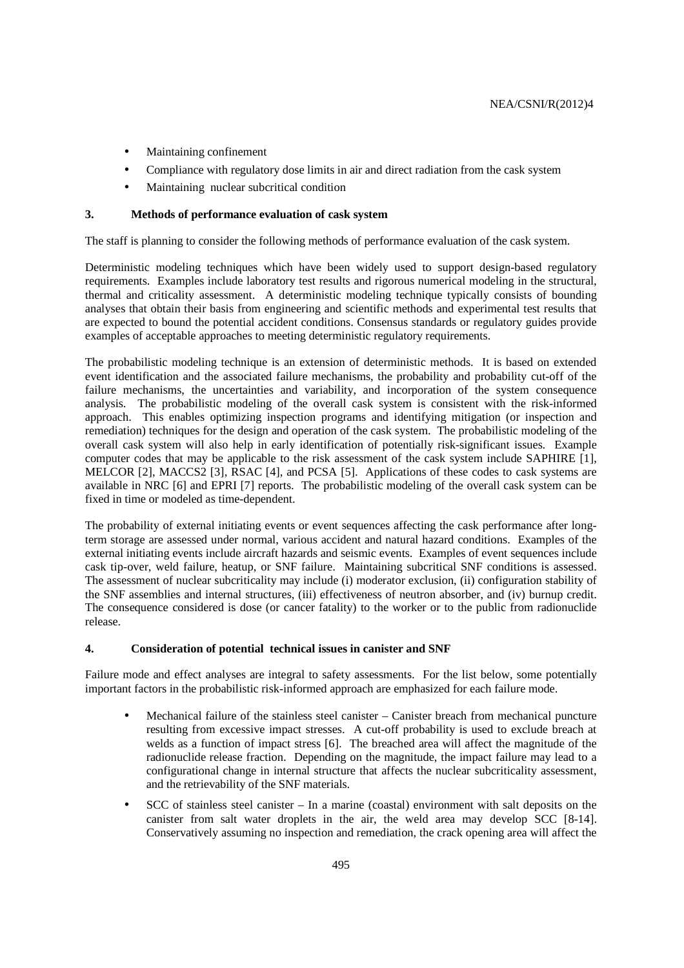- Maintaining confinement
- Compliance with regulatory dose limits in air and direct radiation from the cask system
- Maintaining nuclear subcritical condition

### **3. Methods of performance evaluation of cask system**

The staff is planning to consider the following methods of performance evaluation of the cask system.

Deterministic modeling techniques which have been widely used to support design-based regulatory requirements. Examples include laboratory test results and rigorous numerical modeling in the structural, thermal and criticality assessment. A deterministic modeling technique typically consists of bounding analyses that obtain their basis from engineering and scientific methods and experimental test results that are expected to bound the potential accident conditions. Consensus standards or regulatory guides provide examples of acceptable approaches to meeting deterministic regulatory requirements.

The probabilistic modeling technique is an extension of deterministic methods. It is based on extended event identification and the associated failure mechanisms, the probability and probability cut-off of the failure mechanisms, the uncertainties and variability, and incorporation of the system consequence analysis. The probabilistic modeling of the overall cask system is consistent with the risk-informed approach. This enables optimizing inspection programs and identifying mitigation (or inspection and remediation) techniques for the design and operation of the cask system. The probabilistic modeling of the overall cask system will also help in early identification of potentially risk-significant issues. Example computer codes that may be applicable to the risk assessment of the cask system include SAPHIRE [1], MELCOR [2], MACCS2 [3], RSAC [4], and PCSA [5]. Applications of these codes to cask systems are available in NRC [6] and EPRI [7] reports. The probabilistic modeling of the overall cask system can be fixed in time or modeled as time-dependent.

The probability of external initiating events or event sequences affecting the cask performance after longterm storage are assessed under normal, various accident and natural hazard conditions. Examples of the external initiating events include aircraft hazards and seismic events. Examples of event sequences include cask tip-over, weld failure, heatup, or SNF failure. Maintaining subcritical SNF conditions is assessed. The assessment of nuclear subcriticality may include (i) moderator exclusion, (ii) configuration stability of the SNF assemblies and internal structures, (iii) effectiveness of neutron absorber, and (iv) burnup credit. The consequence considered is dose (or cancer fatality) to the worker or to the public from radionuclide release.

### **4. Consideration of potential technical issues in canister and SNF**

Failure mode and effect analyses are integral to safety assessments. For the list below, some potentially important factors in the probabilistic risk-informed approach are emphasized for each failure mode.

- Mechanical failure of the stainless steel canister Canister breach from mechanical puncture resulting from excessive impact stresses. A cut-off probability is used to exclude breach at welds as a function of impact stress [6]. The breached area will affect the magnitude of the radionuclide release fraction. Depending on the magnitude, the impact failure may lead to a configurational change in internal structure that affects the nuclear subcriticality assessment, and the retrievability of the SNF materials.
- SCC of stainless steel canister In a marine (coastal) environment with salt deposits on the canister from salt water droplets in the air, the weld area may develop SCC [8-14]. Conservatively assuming no inspection and remediation, the crack opening area will affect the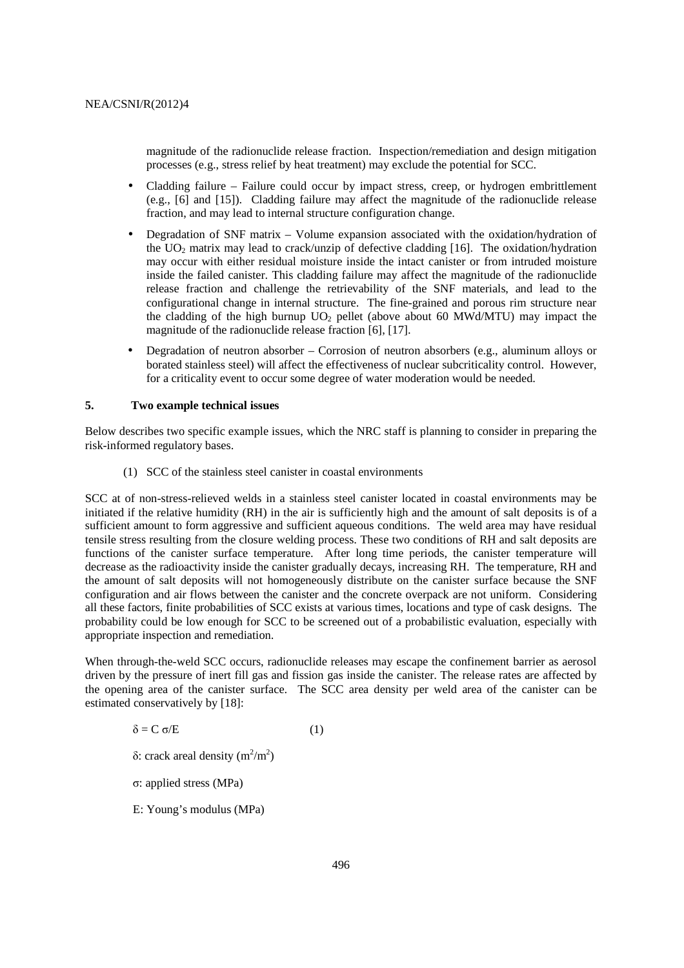magnitude of the radionuclide release fraction. Inspection/remediation and design mitigation processes (e.g., stress relief by heat treatment) may exclude the potential for SCC.

- Cladding failure Failure could occur by impact stress, creep, or hydrogen embrittlement (e.g., [6] and [15]). Cladding failure may affect the magnitude of the radionuclide release fraction, and may lead to internal structure configuration change.
- Degradation of SNF matrix Volume expansion associated with the oxidation/hydration of the UO<sub>2</sub> matrix may lead to crack/unzip of defective cladding [16]. The oxidation/hydration may occur with either residual moisture inside the intact canister or from intruded moisture inside the failed canister. This cladding failure may affect the magnitude of the radionuclide release fraction and challenge the retrievability of the SNF materials, and lead to the configurational change in internal structure. The fine-grained and porous rim structure near the cladding of the high burnup  $UO<sub>2</sub>$  pellet (above about 60 MWd/MTU) may impact the magnitude of the radionuclide release fraction [6], [17].
- Degradation of neutron absorber Corrosion of neutron absorbers (e.g., aluminum alloys or borated stainless steel) will affect the effectiveness of nuclear subcriticality control. However, for a criticality event to occur some degree of water moderation would be needed.

### **5. Two example technical issues**

Below describes two specific example issues, which the NRC staff is planning to consider in preparing the risk-informed regulatory bases.

(1) SCC of the stainless steel canister in coastal environments

SCC at of non-stress-relieved welds in a stainless steel canister located in coastal environments may be initiated if the relative humidity (RH) in the air is sufficiently high and the amount of salt deposits is of a sufficient amount to form aggressive and sufficient aqueous conditions. The weld area may have residual tensile stress resulting from the closure welding process. These two conditions of RH and salt deposits are functions of the canister surface temperature. After long time periods, the canister temperature will decrease as the radioactivity inside the canister gradually decays, increasing RH. The temperature, RH and the amount of salt deposits will not homogeneously distribute on the canister surface because the SNF configuration and air flows between the canister and the concrete overpack are not uniform. Considering all these factors, finite probabilities of SCC exists at various times, locations and type of cask designs. The probability could be low enough for SCC to be screened out of a probabilistic evaluation, especially with appropriate inspection and remediation.

When through-the-weld SCC occurs, radionuclide releases may escape the confinement barrier as aerosol driven by the pressure of inert fill gas and fission gas inside the canister. The release rates are affected by the opening area of the canister surface. The SCC area density per weld area of the canister can be estimated conservatively by [18]:

$$
\delta = C \sigma/E \tag{1}
$$

 $\delta$ : crack areal density (m<sup>2</sup>/m<sup>2</sup>)

σ: applied stress (MPa)

E: Young's modulus (MPa)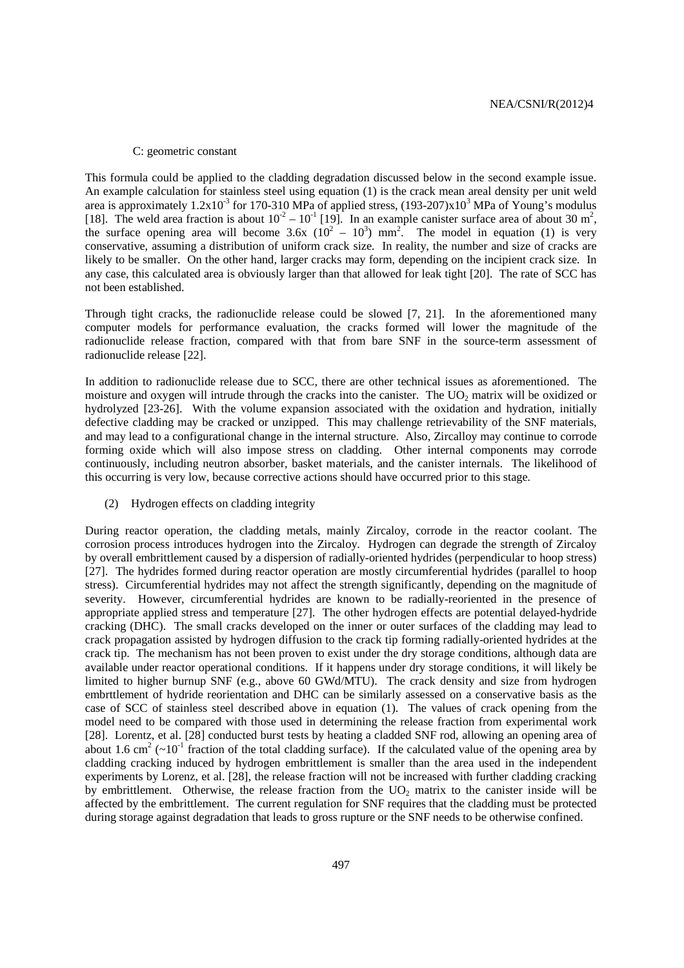#### C: geometric constant

This formula could be applied to the cladding degradation discussed below in the second example issue. An example calculation for stainless steel using equation (1) is the crack mean areal density per unit weld area is approximately  $1.2x10^{-3}$  for 170-310 MPa of applied stress,  $(193-207)x10^{3}$  MPa of Young's modulus [18]. The weld area fraction is about  $10^{-2} - 10^{-1}$  [19]. In an example canister surface area of about 30 m<sup>2</sup>, the surface opening area will become  $3.6x (10^2 - 10^3)$  mm<sup>2</sup>. The model in equation (1) is very conservative, assuming a distribution of uniform crack size. In reality, the number and size of cracks are likely to be smaller. On the other hand, larger cracks may form, depending on the incipient crack size. In any case, this calculated area is obviously larger than that allowed for leak tight [20]. The rate of SCC has not been established.

Through tight cracks, the radionuclide release could be slowed [7, 21]. In the aforementioned many computer models for performance evaluation, the cracks formed will lower the magnitude of the radionuclide release fraction, compared with that from bare SNF in the source-term assessment of radionuclide release [22].

In addition to radionuclide release due to SCC, there are other technical issues as aforementioned. The moisture and oxygen will intrude through the cracks into the canister. The  $UO<sub>2</sub>$  matrix will be oxidized or hydrolyzed [23-26]. With the volume expansion associated with the oxidation and hydration, initially defective cladding may be cracked or unzipped. This may challenge retrievability of the SNF materials, and may lead to a configurational change in the internal structure. Also, Zircalloy may continue to corrode forming oxide which will also impose stress on cladding. Other internal components may corrode continuously, including neutron absorber, basket materials, and the canister internals. The likelihood of this occurring is very low, because corrective actions should have occurred prior to this stage.

(2) Hydrogen effects on cladding integrity

During reactor operation, the cladding metals, mainly Zircaloy, corrode in the reactor coolant. The corrosion process introduces hydrogen into the Zircaloy. Hydrogen can degrade the strength of Zircaloy by overall embrittlement caused by a dispersion of radially-oriented hydrides (perpendicular to hoop stress) [27]. The hydrides formed during reactor operation are mostly circumferential hydrides (parallel to hoop stress). Circumferential hydrides may not affect the strength significantly, depending on the magnitude of severity. However, circumferential hydrides are known to be radially-reoriented in the presence of appropriate applied stress and temperature [27]. The other hydrogen effects are potential delayed-hydride cracking (DHC). The small cracks developed on the inner or outer surfaces of the cladding may lead to crack propagation assisted by hydrogen diffusion to the crack tip forming radially-oriented hydrides at the crack tip. The mechanism has not been proven to exist under the dry storage conditions, although data are available under reactor operational conditions. If it happens under dry storage conditions, it will likely be limited to higher burnup SNF (e.g., above 60 GWd/MTU). The crack density and size from hydrogen embrttlement of hydride reorientation and DHC can be similarly assessed on a conservative basis as the case of SCC of stainless steel described above in equation (1). The values of crack opening from the model need to be compared with those used in determining the release fraction from experimental work [28]. Lorentz, et al. [28] conducted burst tests by heating a cladded SNF rod, allowing an opening area of about 1.6 cm<sup>2</sup> ( $\sim$ 10<sup>-1</sup> fraction of the total cladding surface). If the calculated value of the opening area by cladding cracking induced by hydrogen embrittlement is smaller than the area used in the independent experiments by Lorenz, et al. [28], the release fraction will not be increased with further cladding cracking by embrittlement. Otherwise, the release fraction from the  $UO<sub>2</sub>$  matrix to the canister inside will be affected by the embrittlement. The current regulation for SNF requires that the cladding must be protected during storage against degradation that leads to gross rupture or the SNF needs to be otherwise confined.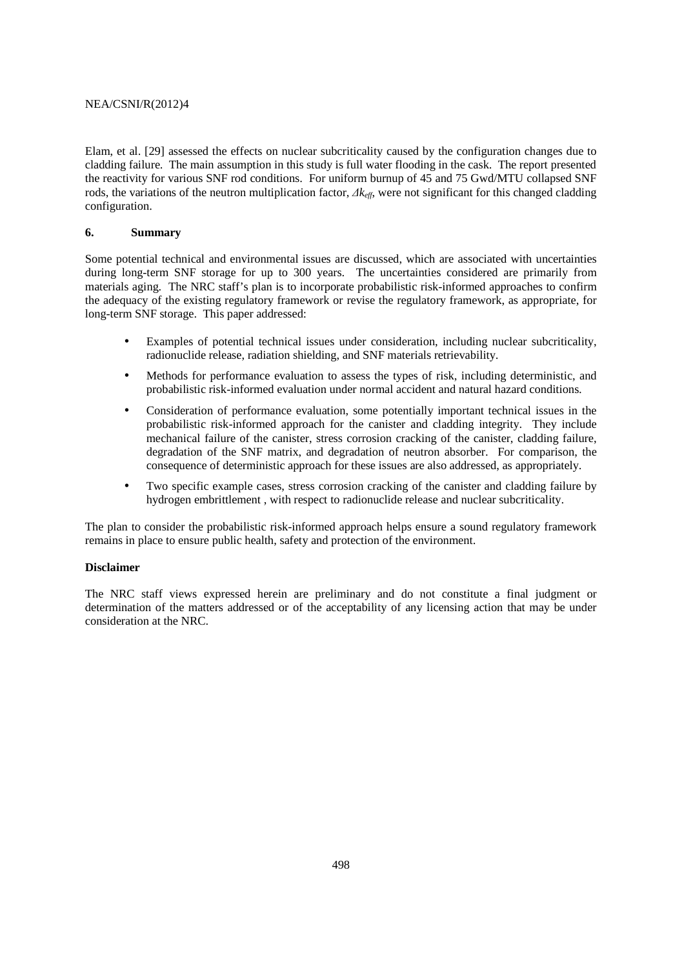### NEA/CSNI/R(2012)4

Elam, et al. [29] assessed the effects on nuclear subcriticality caused by the configuration changes due to cladding failure. The main assumption in this study is full water flooding in the cask. The report presented the reactivity for various SNF rod conditions. For uniform burnup of 45 and 75 Gwd/MTU collapsed SNF rods, the variations of the neutron multiplication factor, *∆keff*, were not significant for this changed cladding configuration.

### **6. Summary**

Some potential technical and environmental issues are discussed, which are associated with uncertainties during long-term SNF storage for up to 300 years. The uncertainties considered are primarily from materials aging. The NRC staff's plan is to incorporate probabilistic risk-informed approaches to confirm the adequacy of the existing regulatory framework or revise the regulatory framework, as appropriate, for long-term SNF storage. This paper addressed:

- Examples of potential technical issues under consideration, including nuclear subcriticality, radionuclide release, radiation shielding, and SNF materials retrievability.
- Methods for performance evaluation to assess the types of risk, including deterministic, and probabilistic risk-informed evaluation under normal accident and natural hazard conditions.
- Consideration of performance evaluation, some potentially important technical issues in the probabilistic risk-informed approach for the canister and cladding integrity. They include mechanical failure of the canister, stress corrosion cracking of the canister, cladding failure, degradation of the SNF matrix, and degradation of neutron absorber. For comparison, the consequence of deterministic approach for these issues are also addressed, as appropriately.
- Two specific example cases, stress corrosion cracking of the canister and cladding failure by hydrogen embrittlement , with respect to radionuclide release and nuclear subcriticality.

The plan to consider the probabilistic risk-informed approach helps ensure a sound regulatory framework remains in place to ensure public health, safety and protection of the environment.

### **Disclaimer**

The NRC staff views expressed herein are preliminary and do not constitute a final judgment or determination of the matters addressed or of the acceptability of any licensing action that may be under consideration at the NRC.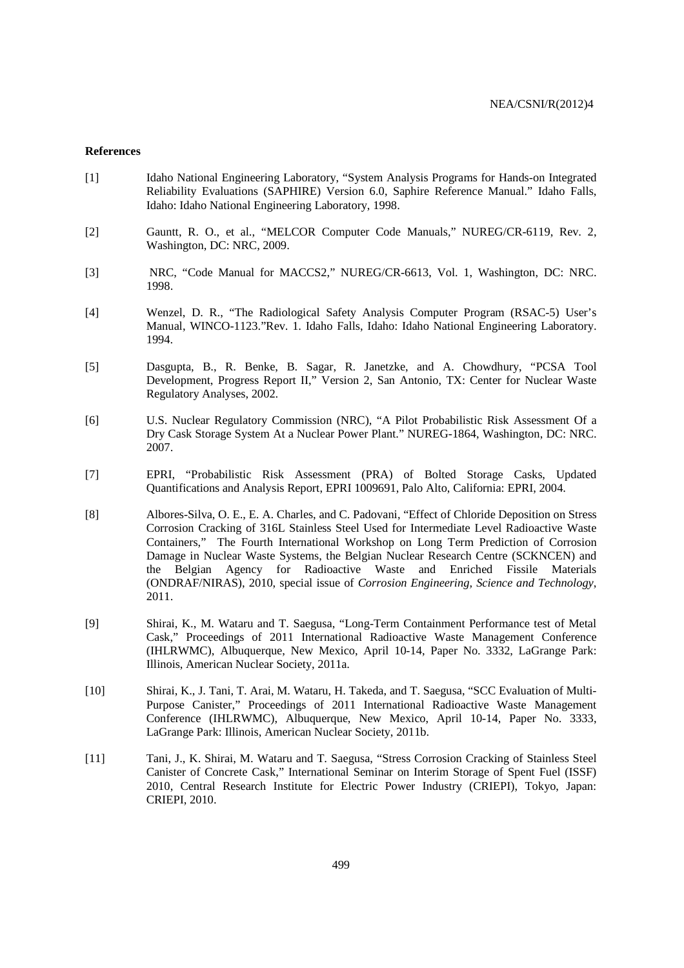#### **References**

- [1] Idaho National Engineering Laboratory, "System Analysis Programs for Hands-on Integrated Reliability Evaluations (SAPHIRE) Version 6.0, Saphire Reference Manual." Idaho Falls, Idaho: Idaho National Engineering Laboratory, 1998.
- [2] Gauntt, R. O., et al., "MELCOR Computer Code Manuals," NUREG/CR-6119, Rev. 2, Washington, DC: NRC, 2009.
- [3] NRC, "Code Manual for MACCS2," NUREG/CR-6613, Vol. 1, Washington, DC: NRC. 1998.
- [4] Wenzel, D. R., "The Radiological Safety Analysis Computer Program (RSAC-5) User's Manual, WINCO-1123."Rev. 1. Idaho Falls, Idaho: Idaho National Engineering Laboratory. 1994.
- [5] Dasgupta, B., R. Benke, B. Sagar, R. Janetzke, and A. Chowdhury, "PCSA Tool Development, Progress Report II," Version 2, San Antonio, TX: Center for Nuclear Waste Regulatory Analyses, 2002.
- [6] U.S. Nuclear Regulatory Commission (NRC), "A Pilot Probabilistic Risk Assessment Of a Dry Cask Storage System At a Nuclear Power Plant." NUREG-1864, Washington, DC: NRC. 2007.
- [7] EPRI, "Probabilistic Risk Assessment (PRA) of Bolted Storage Casks, Updated Quantifications and Analysis Report, EPRI 1009691, Palo Alto, California: EPRI, 2004.
- [8] Albores-Silva, O. E., E. A. Charles, and C. Padovani, "Effect of Chloride Deposition on Stress Corrosion Cracking of 316L Stainless Steel Used for Intermediate Level Radioactive Waste Containers," The Fourth International Workshop on Long Term Prediction of Corrosion Damage in Nuclear Waste Systems, the Belgian Nuclear Research Centre (SCKNCEN) and the Belgian Agency for Radioactive Waste and Enriched Fissile Materials (ONDRAF/NIRAS), 2010, special issue of *Corrosion Engineering, Science and Technology*, 2011.
- [9] Shirai, K., M. Wataru and T. Saegusa, "Long-Term Containment Performance test of Metal Cask," Proceedings of 2011 International Radioactive Waste Management Conference (IHLRWMC), Albuquerque, New Mexico, April 10-14, Paper No. 3332, LaGrange Park: Illinois, American Nuclear Society, 2011a.
- [10] Shirai, K., J. Tani, T. Arai, M. Wataru, H. Takeda, and T. Saegusa, "SCC Evaluation of Multi-Purpose Canister," Proceedings of 2011 International Radioactive Waste Management Conference (IHLRWMC), Albuquerque, New Mexico, April 10-14, Paper No. 3333, LaGrange Park: Illinois, American Nuclear Society, 2011b.
- [11] Tani, J., K. Shirai, M. Wataru and T. Saegusa, "Stress Corrosion Cracking of Stainless Steel Canister of Concrete Cask," International Seminar on Interim Storage of Spent Fuel (ISSF) 2010, Central Research Institute for Electric Power Industry (CRIEPI), Tokyo, Japan: CRIEPI, 2010.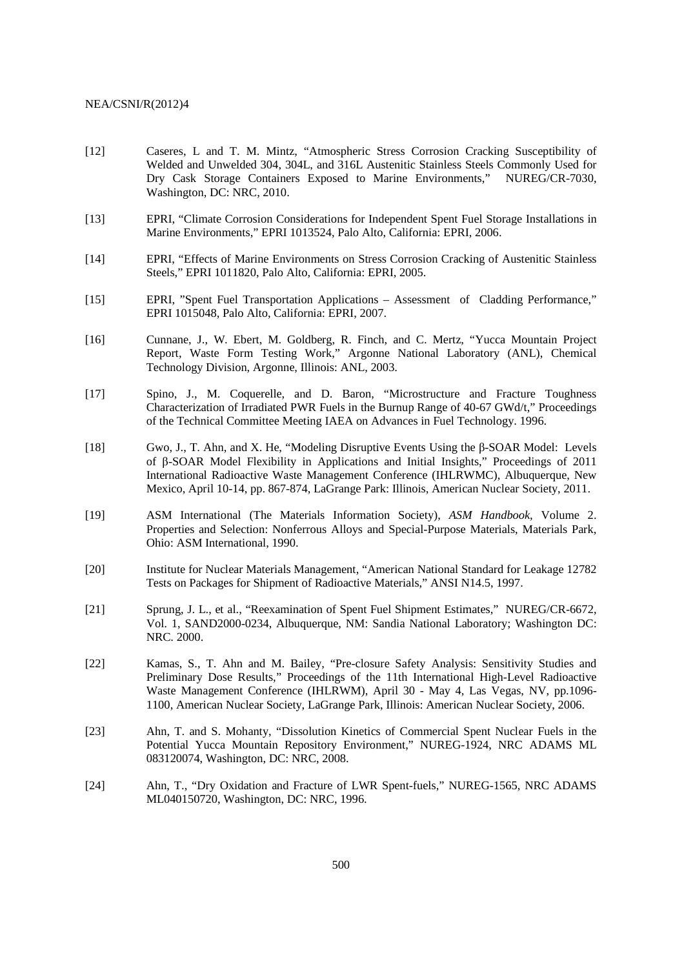#### NEA/CSNI/R(2012)4

- [12] Caseres, L and T. M. Mintz, "Atmospheric Stress Corrosion Cracking Susceptibility of Welded and Unwelded 304, 304L, and 316L Austenitic Stainless Steels Commonly Used for Dry Cask Storage Containers Exposed to Marine Environments," NUREG/CR-7030, Washington, DC: NRC, 2010.
- [13] EPRI, "Climate Corrosion Considerations for Independent Spent Fuel Storage Installations in Marine Environments," EPRI 1013524, Palo Alto, California: EPRI, 2006.
- [14] EPRI, "Effects of Marine Environments on Stress Corrosion Cracking of Austenitic Stainless Steels," EPRI 1011820, Palo Alto, California: EPRI, 2005.
- [15] EPRI, "Spent Fuel Transportation Applications Assessment of Cladding Performance," EPRI 1015048, Palo Alto, California: EPRI, 2007.
- [16] Cunnane, J., W. Ebert, M. Goldberg, R. Finch, and C. Mertz, "Yucca Mountain Project Report, Waste Form Testing Work," Argonne National Laboratory (ANL), Chemical Technology Division, Argonne, Illinois: ANL, 2003.
- [17] Spino, J., M. Coquerelle, and D. Baron, "Microstructure and Fracture Toughness Characterization of Irradiated PWR Fuels in the Burnup Range of 40-67 GWd/t," Proceedings of the Technical Committee Meeting IAEA on Advances in Fuel Technology. 1996.
- [18] Gwo, J., T. Ahn, and X. He, "Modeling Disruptive Events Using the β-SOAR Model: Levels of β-SOAR Model Flexibility in Applications and Initial Insights," Proceedings of 2011 International Radioactive Waste Management Conference (IHLRWMC), Albuquerque, New Mexico, April 10-14, pp. 867-874, LaGrange Park: Illinois, American Nuclear Society, 2011.
- [19] ASM International (The Materials Information Society), *ASM Handbook,* Volume 2. Properties and Selection: Nonferrous Alloys and Special-Purpose Materials, Materials Park, Ohio: ASM International, 1990.
- [20] Institute for Nuclear Materials Management, "American National Standard for Leakage 12782 Tests on Packages for Shipment of Radioactive Materials," ANSI N14.5, 1997.
- [21] Sprung, J. L., et al., "Reexamination of Spent Fuel Shipment Estimates," NUREG/CR-6672, Vol. 1, SAND2000-0234, Albuquerque, NM: Sandia National Laboratory; Washington DC: NRC. 2000.
- [22] Kamas, S., T. Ahn and M. Bailey, "Pre-closure Safety Analysis: Sensitivity Studies and Preliminary Dose Results," Proceedings of the 11th International High-Level Radioactive Waste Management Conference (IHLRWM), April 30 - May 4, Las Vegas, NV, pp.1096- 1100, American Nuclear Society, LaGrange Park, Illinois: American Nuclear Society, 2006.
- [23] Ahn, T. and S. Mohanty, "Dissolution Kinetics of Commercial Spent Nuclear Fuels in the Potential Yucca Mountain Repository Environment," NUREG-1924, NRC ADAMS ML 083120074, Washington, DC: NRC, 2008.
- [24] Ahn, T., "Dry Oxidation and Fracture of LWR Spent-fuels," NUREG-1565, NRC ADAMS ML040150720, Washington, DC: NRC, 1996.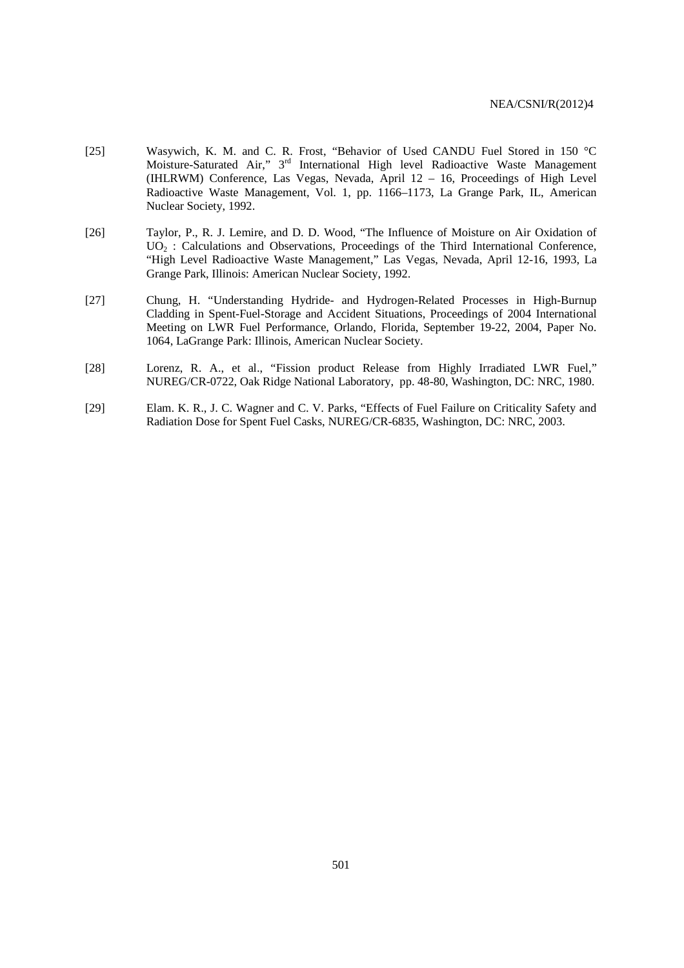- [25] Wasywich, K. M. and C. R. Frost, "Behavior of Used CANDU Fuel Stored in 150 °C Moisture-Saturated Air," 3rd International High level Radioactive Waste Management (IHLRWM) Conference, Las Vegas, Nevada, April 12 – 16, Proceedings of High Level Radioactive Waste Management, Vol. 1, pp. 1166–1173, La Grange Park, IL, American Nuclear Society, 1992.
- [26] Taylor, P., R. J. Lemire, and D. D. Wood, "The Influence of Moisture on Air Oxidation of  $UO<sub>2</sub>$ : Calculations and Observations, Proceedings of the Third International Conference, "High Level Radioactive Waste Management," Las Vegas, Nevada, April 12-16, 1993, La Grange Park, Illinois: American Nuclear Society, 1992.
- [27] Chung, H. "Understanding Hydride- and Hydrogen-Related Processes in High-Burnup Cladding in Spent-Fuel-Storage and Accident Situations, Proceedings of 2004 International Meeting on LWR Fuel Performance, Orlando, Florida, September 19-22, 2004, Paper No. 1064, LaGrange Park: Illinois, American Nuclear Society.
- [28] Lorenz, R. A., et al., "Fission product Release from Highly Irradiated LWR Fuel," NUREG/CR-0722, Oak Ridge National Laboratory, pp. 48-80, Washington, DC: NRC, 1980.
- [29] Elam. K. R., J. C. Wagner and C. V. Parks, "Effects of Fuel Failure on Criticality Safety and Radiation Dose for Spent Fuel Casks, NUREG/CR-6835, Washington, DC: NRC, 2003.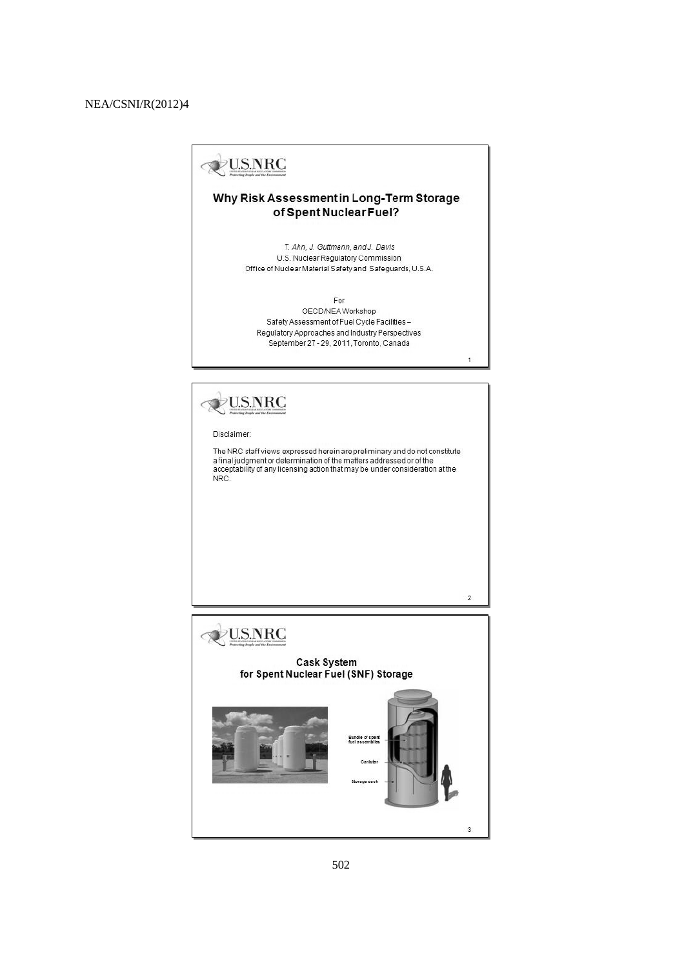

### Why Risk Assessment in Long-Term Storage of Spent Nuclear Fuel?

T. Ahn, J. Guttmann, and J. Davis U.S. Nuclear Regulatory Commission Office of Nuclear Material Safety and Safeguards, U.S.A.

For OECD/NEA Workshop Safety Assessment of Fuel Cycle Facilities-Regulatory Approaches and Industry Perspectives September 27 - 29, 2011, Toronto, Canada

 $\ddagger$ 

 $\overline{2}$ 



**Disclaimer:** 

The NRC staff views expressed herein are preliminary and do not constitute a final judgment or determination of the matters addressed or of the<br>acceptability of any licensing action that may be under consideration at the NRC.

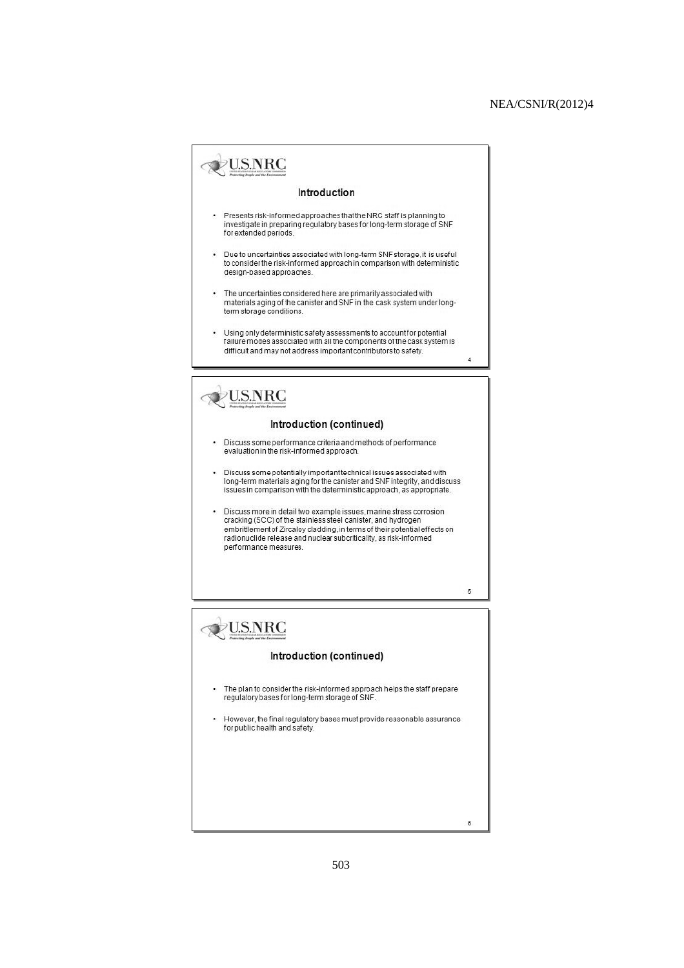$\overline{4}$ 

# **U.S.NRC**

#### Introduction

- Presents risk-informed approaches that the NRC staff is planning to<br>investigate in preparing regulatory bases for long-term storage of SNF for extended periods.
- Due to uncertainties associated with long-term SNF storage, it is useful<br>to consider the risk-informed approach in comparison with deterministic ÷ design-based approaches.
- ¥ The uncertainties considered here are primarily associated with materials aging of the canister and SNF in the cask system under long-<br>term storage conditions.
- Using only deterministic safety assessments to account for potential failure modes associated with all the components of the cask system is difficult and may not address important contributors to safety.

# **U.S.NRC**

#### Introduction (continued)

- Discuss some performance criteria and methods of performance evaluation in the risk-informed approach.
- Discuss some potentially important technical issues associated with  $\bullet$ long-term materials aging for the canister and SNF integrity, and discuss issues in comparison with the deterministic approach, as appropriate.
- Discuss more in detail two example issues, marine stress corrosion  $\bullet$ cracking (SCC) of the stainless steel canister, and hydrogen embrittlement of Zircaloy cladding, in terms of their potential effects on radionuclide release and nuclear subcriticality, as risk-informed performance measures.

 $\overline{5}$  $\nu$ U.S.NRC Introduction (continued) The plan to consider the risk-informed approach helps the staff prepare regulatory bases for long-term storage of SNF. However, the final regulatory bases must provide reasonable assurance ä, for public health and safety.  $\sqrt{6}$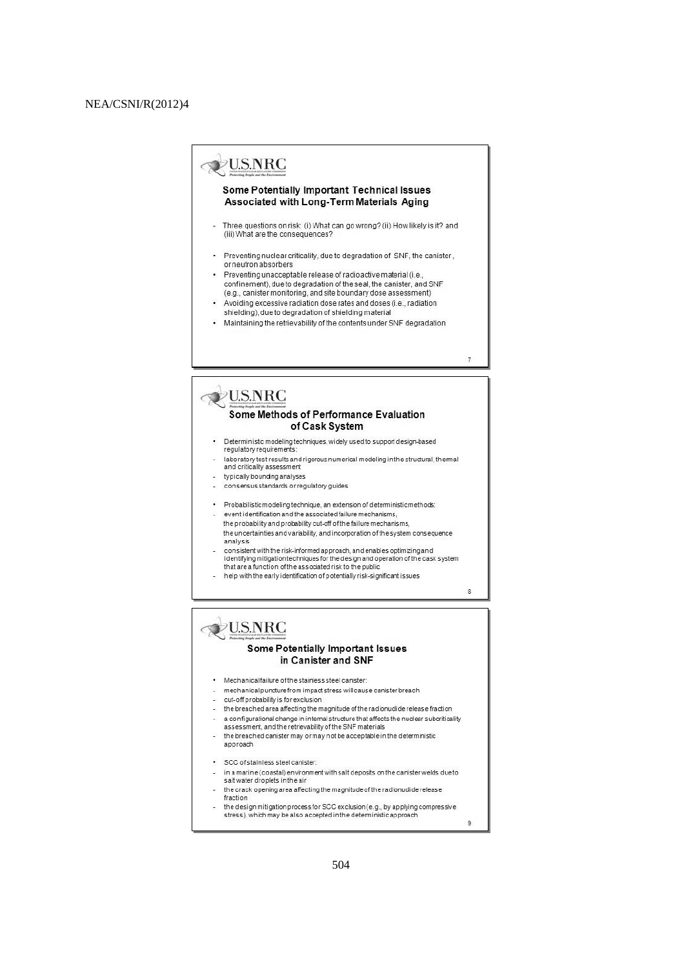### **DUSNRC**

#### **Some Potentially Important Technical Issues** Associated with Long-Term Materials Aging

- Three questions on risk: (i) What can go wrong? (ii) How likely is it? and (iii) What are the consequences?
- Preventing nuclear criticality, due to degradation of SNF, the canister, or neutron absorbers
- Preventing unacceptable release of radioactive material (i.e. confinement), due to degradation of the seal, the canister, and SNF
- (e.g., canister monitoring, and site boundary dose assessment) Avoiding excessive radiation dose rates and doses (i.e., radiation
- shielding), due to degradation of shielding material
- Maintaining the retrievability of the contents under SNF degradation

# $\nu$ U.S.NRC

#### Some Methods of Performance Evaluation of Cask System

- Deterministic modeling techniques, widely used to support design-based<br>regulatory requirements:
- laboratory test results and rigorous numerical modeling in the structural, thermal and criticality assessment
- typically bounding analyses
- consensus standards or regulatory guides
- $\ddot{\phantom{1}}$ Probabilistic modeling technique, an extension of deterministic methods:
	- event identification and the associated failure mechanisms, the probability and probability cut-off of the failure mechanisms, the uncertainties and variability, and incorporation of the system consequence analysis
- consistent with the risk-informed approach, and enables optimizing and<br>identifying mitigation techniques for the design and operation of the cask system that are a function of the associated risk to the public
- help with the early identification of potentially risk-significant is sues

8

 $\overline{7}$ 

# **DUSNRC**

#### **Some Potentially Important Issues** in Canister and SNF

- Mechanical failure of the stainless steel canister:  $\mathbf{r}$
- mechanical puncture from impact stress will cause canister breach
- cut-off probability is for exclusion
- the breached area affecting the magnitude of the radionuclide release fraction
- a configurational change in internal structure that affects the nuclear subcriticality<br>assessment, and the retrievability of the SNF materials
- the breached canister may or may not be acceptable in the deterministic
- approach
- $\blacksquare$ SCC of stainless steel canister:
- in a marine (coastal) environment with salt deposits on the canister welds dueto salt water droplets in the air
- the crack opening area affecting the magnitude of the radionudide release fraction
- the design mitigation process for SCC exclusion (e.g., by applying compressive stress), which may be also accepted in the deterministic approach
-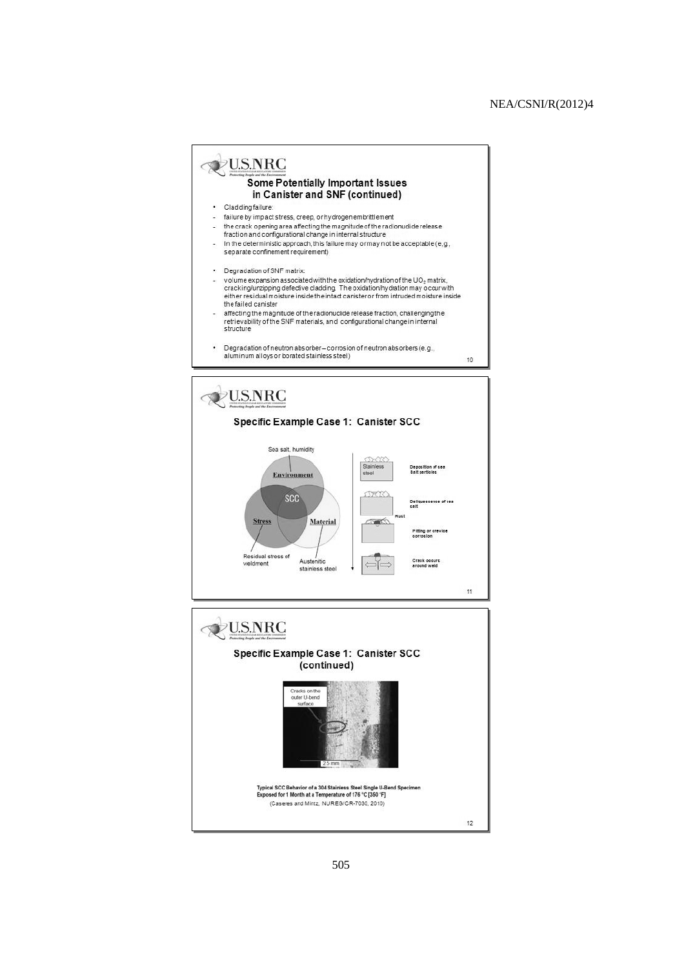# U.S.NRC Some Potentially Important Issues in Canister and SNF (continued)

- · Claddingfailure:
- failure by impact stress, creep, or hydrogen embrittlement  $\langle \hat{z} \rangle$
- the crack opening area affecting the magnitude of the radionuclide release
- fraction and configurational change in internal structure<br>In the deterministic approach, this failure may or may not be acceptable (e,g., separate confinement requirement)
- Degradation of SNF matrix:
- volume expansion associated with the oxidation/hydration of the UO<sub>2</sub> matrix,<br>cracking/unzipping defective cladding. The oxidation/hydration may occur with  $\overline{a}$ either residual moisture inside the intact canister or from intruded moisture inside the failed canister
- affecting the magnitude of the radionuclide release fraction, challenging the retrievability of the SNF materials, and configurational change in internal structure
- Degradation of neutron absorber-corrosion of neutron absorbers (e.g., aluminum alloys or borated stainless steel)



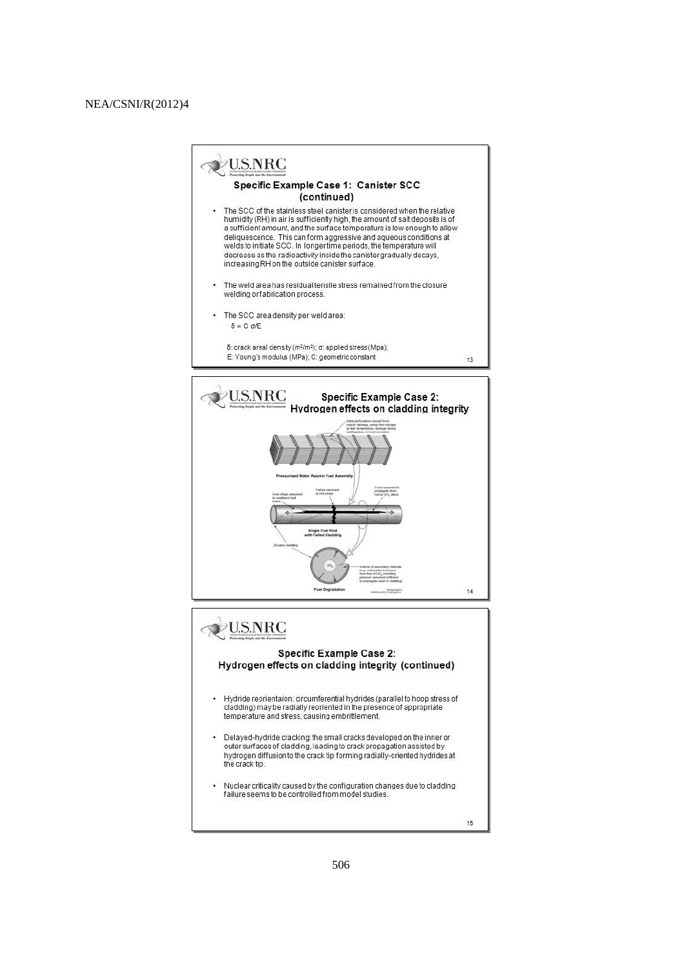



506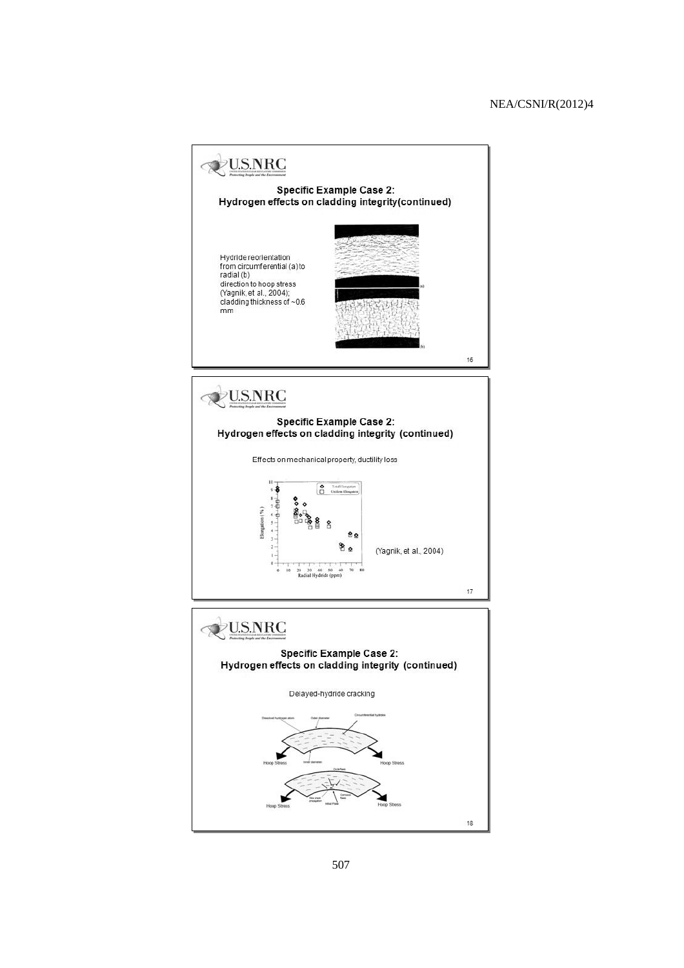